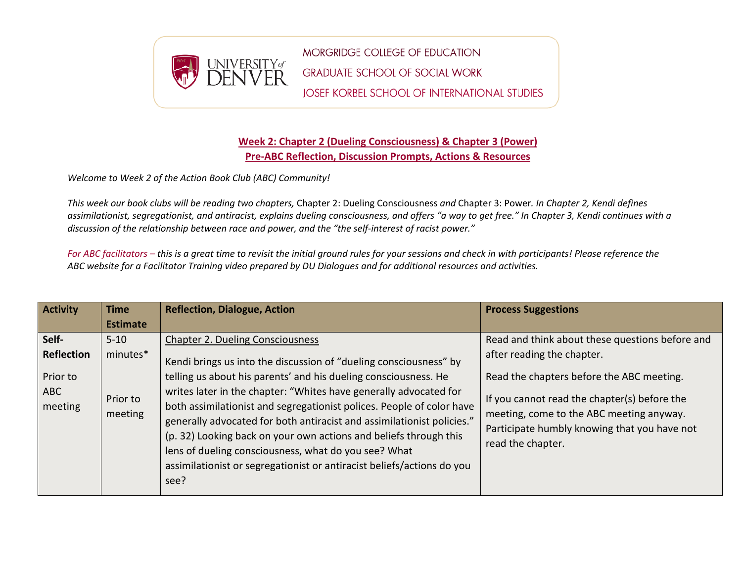

## **Week 2: Chapter 2 (Dueling Consciousness) & Chapter 3 (Power) Pre-ABC Reflection, Discussion Prompts, Actions & Resources**

*Welcome to Week 2 of the Action Book Club (ABC) Community!*

*This week our book clubs will be reading two chapters,* Chapter 2: Dueling Consciousness *and* Chapter 3: Power*. In Chapter 2, Kendi defines assimilationist, segregationist, and antiracist, explains dueling consciousness, and offers "a way to get free." In Chapter 3, Kendi continues with a discussion of the relationship between race and power, and the "the self-interest of racist power."*

*For ABC facilitators – this is a great time to revisit the initial ground rules for your sessions and check in with participants! Please reference the ABC website for a Facilitator Training video prepared by DU Dialogues and for additional resources and activities.*

| <b>Activity</b>                                                 | <b>Time</b><br><b>Estimate</b>              | <b>Reflection, Dialogue, Action</b>                                                                                                                                                                                                                                                                                                                                                                                                                                                                                                                                                                                    | <b>Process Suggestions</b>                                                                                                                                                                                                                                                                  |
|-----------------------------------------------------------------|---------------------------------------------|------------------------------------------------------------------------------------------------------------------------------------------------------------------------------------------------------------------------------------------------------------------------------------------------------------------------------------------------------------------------------------------------------------------------------------------------------------------------------------------------------------------------------------------------------------------------------------------------------------------------|---------------------------------------------------------------------------------------------------------------------------------------------------------------------------------------------------------------------------------------------------------------------------------------------|
| Self-<br><b>Reflection</b><br>Prior to<br><b>ABC</b><br>meeting | $5 - 10$<br>minutes*<br>Prior to<br>meeting | <b>Chapter 2. Dueling Consciousness</b><br>Kendi brings us into the discussion of "dueling consciousness" by<br>telling us about his parents' and his dueling consciousness. He<br>writes later in the chapter: "Whites have generally advocated for<br>both assimilationist and segregationist polices. People of color have<br>generally advocated for both antiracist and assimilationist policies."<br>(p. 32) Looking back on your own actions and beliefs through this<br>lens of dueling consciousness, what do you see? What<br>assimilationist or segregationist or antiracist beliefs/actions do you<br>see? | Read and think about these questions before and<br>after reading the chapter.<br>Read the chapters before the ABC meeting.<br>If you cannot read the chapter(s) before the<br>meeting, come to the ABC meeting anyway.<br>Participate humbly knowing that you have not<br>read the chapter. |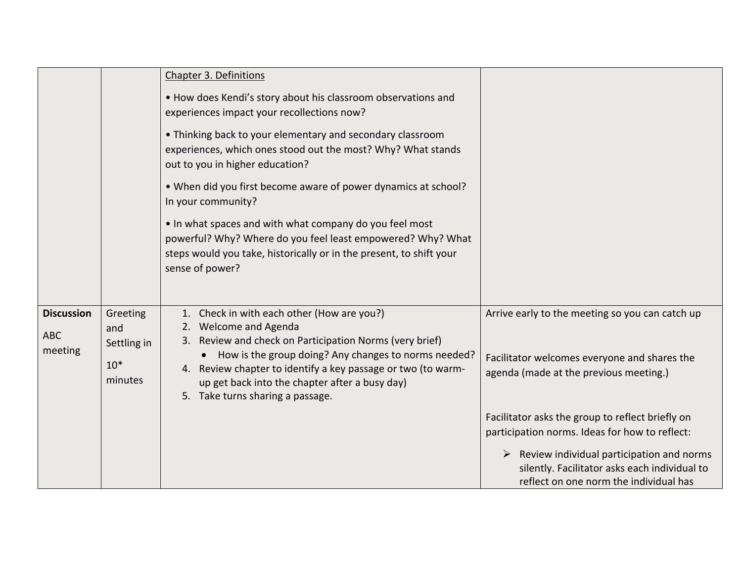|                       |                                        | Chapter 3. Definitions                                                                                                                                                                                                                                                                         |                                                                                                                                      |
|-----------------------|----------------------------------------|------------------------------------------------------------------------------------------------------------------------------------------------------------------------------------------------------------------------------------------------------------------------------------------------|--------------------------------------------------------------------------------------------------------------------------------------|
|                       |                                        | . How does Kendi's story about his classroom observations and<br>experiences impact your recollections now?                                                                                                                                                                                    |                                                                                                                                      |
|                       |                                        | • Thinking back to your elementary and secondary classroom<br>experiences, which ones stood out the most? Why? What stands<br>out to you in higher education?                                                                                                                                  |                                                                                                                                      |
|                       |                                        | . When did you first become aware of power dynamics at school?<br>In your community?                                                                                                                                                                                                           |                                                                                                                                      |
|                       |                                        | . In what spaces and with what company do you feel most<br>powerful? Why? Where do you feel least empowered? Why? What<br>steps would you take, historically or in the present, to shift your<br>sense of power?                                                                               |                                                                                                                                      |
|                       |                                        |                                                                                                                                                                                                                                                                                                |                                                                                                                                      |
| <b>Discussion</b>     | Greeting                               | Check in with each other (How are you?)                                                                                                                                                                                                                                                        | Arrive early to the meeting so you can catch up                                                                                      |
| <b>ABC</b><br>meeting | and<br>Settling in<br>$10*$<br>minutes | 2. Welcome and Agenda<br>3. Review and check on Participation Norms (very brief)<br>How is the group doing? Any changes to norms needed?<br>4. Review chapter to identify a key passage or two (to warm-<br>up get back into the chapter after a busy day)<br>5. Take turns sharing a passage. | Facilitator welcomes everyone and shares the<br>agenda (made at the previous meeting.)                                               |
|                       |                                        |                                                                                                                                                                                                                                                                                                | Facilitator asks the group to reflect briefly on<br>participation norms. Ideas for how to reflect:                                   |
|                       |                                        |                                                                                                                                                                                                                                                                                                | Review individual participation and norms<br>silently. Facilitator asks each individual to<br>reflect on one norm the individual has |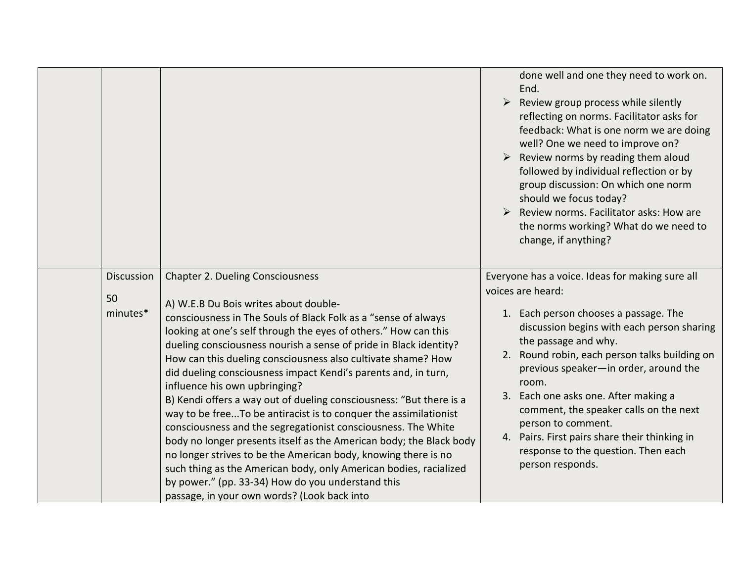|                              |                                                                                                                                                                                                                                                                                                                                                                                                                                                                                                                                                                                                                                                                                                                                                                                                                                                                                                                                                                                             | done well and one they need to work on.<br>End.<br>Review group process while silently<br>$\blacktriangleright$<br>reflecting on norms. Facilitator asks for<br>feedback: What is one norm we are doing<br>well? One we need to improve on?<br>Review norms by reading them aloud<br>followed by individual reflection or by<br>group discussion: On which one norm<br>should we focus today?<br>Review norms. Facilitator asks: How are<br>the norms working? What do we need to<br>change, if anything?     |
|------------------------------|---------------------------------------------------------------------------------------------------------------------------------------------------------------------------------------------------------------------------------------------------------------------------------------------------------------------------------------------------------------------------------------------------------------------------------------------------------------------------------------------------------------------------------------------------------------------------------------------------------------------------------------------------------------------------------------------------------------------------------------------------------------------------------------------------------------------------------------------------------------------------------------------------------------------------------------------------------------------------------------------|---------------------------------------------------------------------------------------------------------------------------------------------------------------------------------------------------------------------------------------------------------------------------------------------------------------------------------------------------------------------------------------------------------------------------------------------------------------------------------------------------------------|
| Discussion<br>50<br>minutes* | <b>Chapter 2. Dueling Consciousness</b><br>A) W.E.B Du Bois writes about double-<br>consciousness in The Souls of Black Folk as a "sense of always<br>looking at one's self through the eyes of others." How can this<br>dueling consciousness nourish a sense of pride in Black identity?<br>How can this dueling consciousness also cultivate shame? How<br>did dueling consciousness impact Kendi's parents and, in turn,<br>influence his own upbringing?<br>B) Kendi offers a way out of dueling consciousness: "But there is a<br>way to be freeTo be antiracist is to conquer the assimilationist<br>consciousness and the segregationist consciousness. The White<br>body no longer presents itself as the American body; the Black body<br>no longer strives to be the American body, knowing there is no<br>such thing as the American body, only American bodies, racialized<br>by power." (pp. 33-34) How do you understand this<br>passage, in your own words? (Look back into | Everyone has a voice. Ideas for making sure all<br>voices are heard:<br>Each person chooses a passage. The<br>1.<br>discussion begins with each person sharing<br>the passage and why.<br>2. Round robin, each person talks building on<br>previous speaker-in order, around the<br>room.<br>3. Each one asks one. After making a<br>comment, the speaker calls on the next<br>person to comment.<br>4. Pairs. First pairs share their thinking in<br>response to the question. Then each<br>person responds. |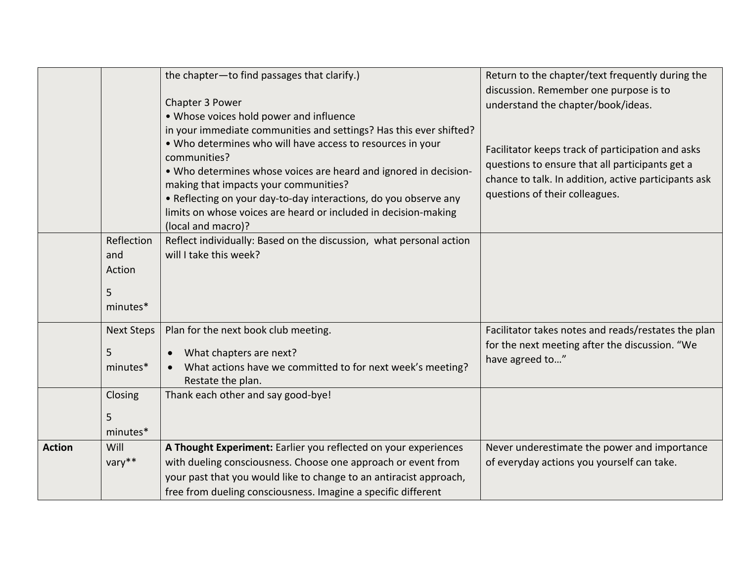|               |                                              | the chapter-to find passages that clarify.)<br>Chapter 3 Power<br>• Whose voices hold power and influence<br>in your immediate communities and settings? Has this ever shifted?<br>. Who determines who will have access to resources in your<br>communities?<br>. Who determines whose voices are heard and ignored in decision-<br>making that impacts your communities?<br>• Reflecting on your day-to-day interactions, do you observe any<br>limits on whose voices are heard or included in decision-making<br>(local and macro)? | Return to the chapter/text frequently during the<br>discussion. Remember one purpose is to<br>understand the chapter/book/ideas.<br>Facilitator keeps track of participation and asks<br>questions to ensure that all participants get a<br>chance to talk. In addition, active participants ask<br>questions of their colleagues. |
|---------------|----------------------------------------------|-----------------------------------------------------------------------------------------------------------------------------------------------------------------------------------------------------------------------------------------------------------------------------------------------------------------------------------------------------------------------------------------------------------------------------------------------------------------------------------------------------------------------------------------|------------------------------------------------------------------------------------------------------------------------------------------------------------------------------------------------------------------------------------------------------------------------------------------------------------------------------------|
|               | Reflection<br>and<br>Action<br>5<br>minutes* | Reflect individually: Based on the discussion, what personal action<br>will I take this week?                                                                                                                                                                                                                                                                                                                                                                                                                                           |                                                                                                                                                                                                                                                                                                                                    |
|               | <b>Next Steps</b><br>5<br>minutes*           | Plan for the next book club meeting.<br>What chapters are next?<br>What actions have we committed to for next week's meeting?<br>Restate the plan.                                                                                                                                                                                                                                                                                                                                                                                      | Facilitator takes notes and reads/restates the plan<br>for the next meeting after the discussion. "We<br>have agreed to"                                                                                                                                                                                                           |
|               | Closing<br>5<br>minutes*                     | Thank each other and say good-bye!                                                                                                                                                                                                                                                                                                                                                                                                                                                                                                      |                                                                                                                                                                                                                                                                                                                                    |
| <b>Action</b> | Will<br>vary**                               | A Thought Experiment: Earlier you reflected on your experiences<br>with dueling consciousness. Choose one approach or event from<br>your past that you would like to change to an antiracist approach,<br>free from dueling consciousness. Imagine a specific different                                                                                                                                                                                                                                                                 | Never underestimate the power and importance<br>of everyday actions you yourself can take.                                                                                                                                                                                                                                         |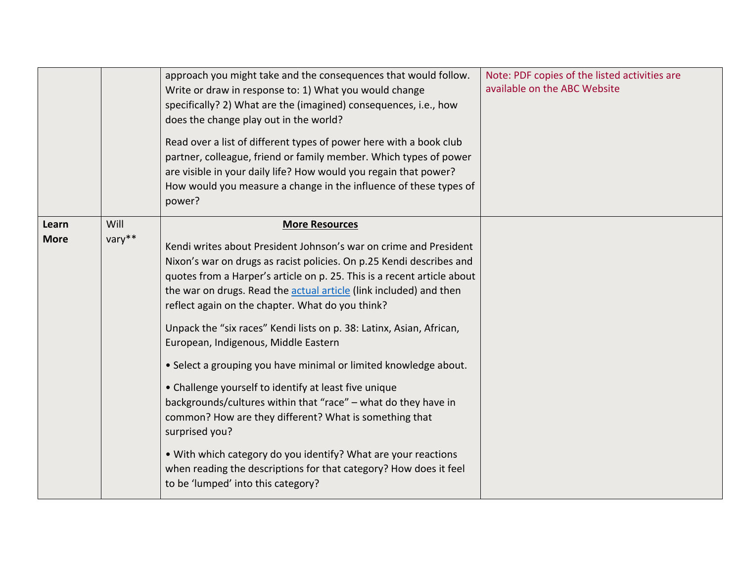|                      |                | approach you might take and the consequences that would follow.<br>Write or draw in response to: 1) What you would change<br>specifically? 2) What are the (imagined) consequences, i.e., how<br>does the change play out in the world?<br>Read over a list of different types of power here with a book club<br>partner, colleague, friend or family member. Which types of power<br>are visible in your daily life? How would you regain that power?<br>How would you measure a change in the influence of these types of<br>power?                                                                                                                                                                                                                                                                                                                                                                                                           | Note: PDF copies of the listed activities are<br>available on the ABC Website |
|----------------------|----------------|-------------------------------------------------------------------------------------------------------------------------------------------------------------------------------------------------------------------------------------------------------------------------------------------------------------------------------------------------------------------------------------------------------------------------------------------------------------------------------------------------------------------------------------------------------------------------------------------------------------------------------------------------------------------------------------------------------------------------------------------------------------------------------------------------------------------------------------------------------------------------------------------------------------------------------------------------|-------------------------------------------------------------------------------|
| Learn<br><b>More</b> | Will<br>vary** | <b>More Resources</b><br>Kendi writes about President Johnson's war on crime and President<br>Nixon's war on drugs as racist policies. On p.25 Kendi describes and<br>quotes from a Harper's article on p. 25. This is a recent article about<br>the war on drugs. Read the actual article (link included) and then<br>reflect again on the chapter. What do you think?<br>Unpack the "six races" Kendi lists on p. 38: Latinx, Asian, African,<br>European, Indigenous, Middle Eastern<br>• Select a grouping you have minimal or limited knowledge about.<br>• Challenge yourself to identify at least five unique<br>backgrounds/cultures within that "race" - what do they have in<br>common? How are they different? What is something that<br>surprised you?<br>. With which category do you identify? What are your reactions<br>when reading the descriptions for that category? How does it feel<br>to be 'lumped' into this category? |                                                                               |